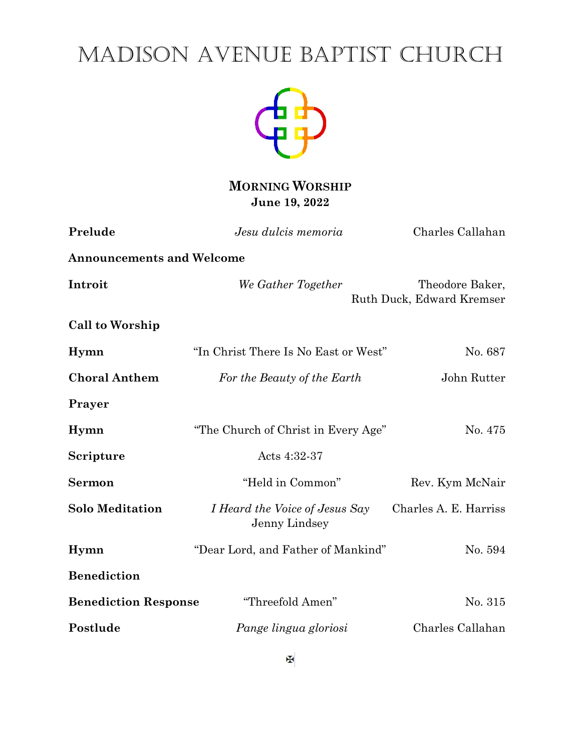# MADISON AVENUE BAPTIST CHURCH



**MORNING WORSHIP June 19, 2022**

| Prelude                          | Jesu dulcis memoria                             | Charles Callahan                             |
|----------------------------------|-------------------------------------------------|----------------------------------------------|
| <b>Announcements and Welcome</b> |                                                 |                                              |
| Introit                          | We Gather Together                              | Theodore Baker,<br>Ruth Duck, Edward Kremser |
| Call to Worship                  |                                                 |                                              |
| Hymn                             | "In Christ There Is No East or West"            | No. 687                                      |
| <b>Choral Anthem</b>             | For the Beauty of the Earth                     | John Rutter                                  |
| Prayer                           |                                                 |                                              |
| Hymn                             | "The Church of Christ in Every Age"             | No. 475                                      |
| Scripture                        | Acts 4:32-37                                    |                                              |
| <b>Sermon</b>                    | "Held in Common"                                | Rev. Kym McNair                              |
| <b>Solo Meditation</b>           | I Heard the Voice of Jesus Say<br>Jenny Lindsey | Charles A. E. Harriss                        |
| Hymn                             | "Dear Lord, and Father of Mankind"              | No. 594                                      |
| <b>Benediction</b>               |                                                 |                                              |
| <b>Benediction Response</b>      | "Threefold Amen"                                | No. 315                                      |
| Postlude                         | Pange lingua gloriosi                           | Charles Callahan                             |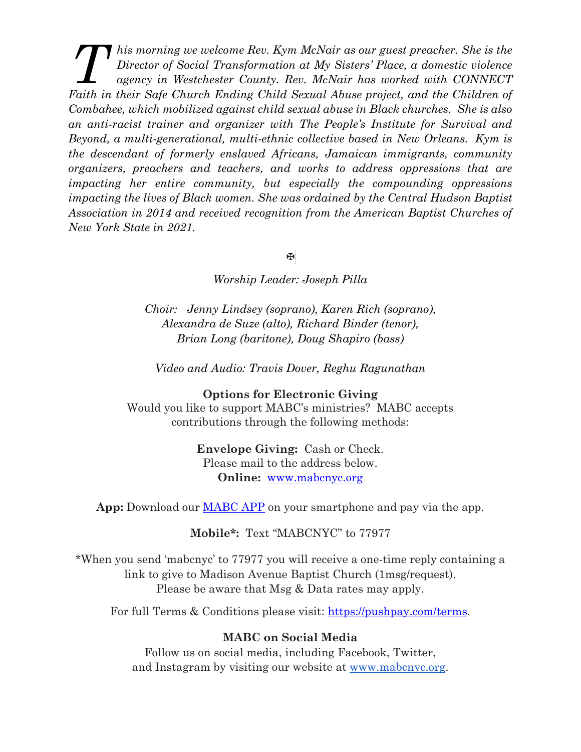*his morning we welcome Rev. Kym McNair as our guest preacher. She is the Director of Social Transformation at My Sisters' Place, a domestic violence agency in Westchester County. Rev. McNair has worked with CONNECT Faith in their Safe Church Ending Child Sexual Abuse project, and the Children of Social Transformation at My Sisters' Place, a domestic violence agency in Westchester County. Rev. McNair has worked with CONNECT Faith in Combahee, which mobilized against child sexual abuse in Black churches. She is also an anti-racist trainer and organizer with The People's Institute for Survival and Beyond, a multi-generational, multi-ethnic collective based in New Orleans. Kym is the descendant of formerly enslaved Africans, Jamaican immigrants, community organizers, preachers and teachers, and works to address oppressions that are impacting her entire community, but especially the compounding oppressions impacting the lives of Black women. She was ordained by the Central Hudson Baptist Association in 2014 and received recognition from the American Baptist Churches of New York State in 2021.*

x

*Worship Leader: Joseph Pilla*

*Choir: Jenny Lindsey (soprano), Karen Rich (soprano), Alexandra de Suze (alto), Richard Binder (tenor), Brian Long (baritone), Doug Shapiro (bass)*

*Video and Audio: Travis Dover, Reghu Ragunathan*

**Options for Electronic Giving**

Would you like to support MABC's ministries? MABC accepts contributions through the following methods:

> **Envelope Giving:** Cash or Check. Please mail to the address below. **Online:** [www.mabcnyc.org](http://www.mabcnyc.org/)

**App:** Download our [MABC APP](https://apps.apple.com/us/app/madison-avenue-baptist-church/id1448767153) on your smartphone and pay via the app.

**Mobile\*:** Text "MABCNYC" to 77977

\*When you send 'mabcnyc' to 77977 you will receive a one-time reply containing a link to give to Madison Avenue Baptist Church (1msg/request). Please be aware that Msg & Data rates may apply.

For full Terms & Conditions please visit: [https://pushpay.com/terms.](https://pushpay.com/terms)

#### **MABC on Social Media**

Follow us on social media, including Facebook, Twitter, and Instagram by visiting our website at [www.mabcnyc.org.](http://www.mabcnyc.org/)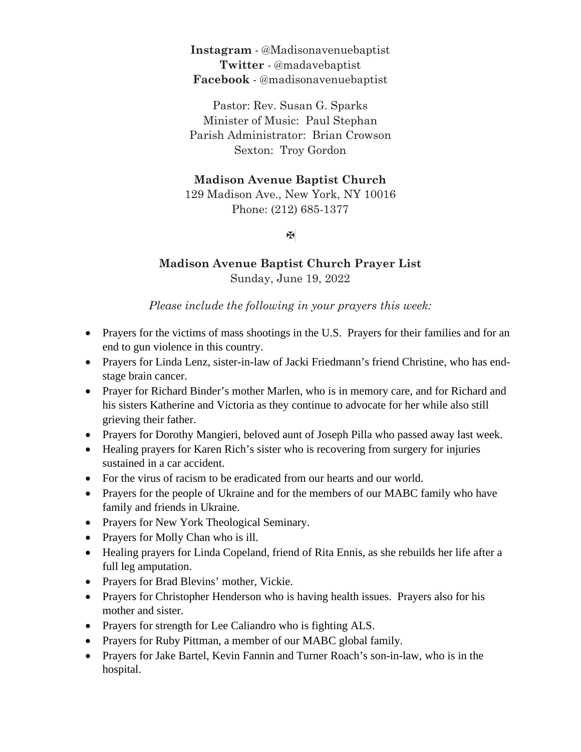**Instagram** - @Madisonavenuebaptist **Twitter** - @madavebaptist **Facebook** - @madisonavenuebaptist

Pastor: Rev. Susan G. Sparks Minister of Music: Paul Stephan Parish Administrator: Brian Crowson Sexton: Troy Gordon

## **Madison Avenue Baptist Church**

129 Madison Ave., New York, NY 10016 Phone: (212) 685-1377

## Ж

## **Madison Avenue Baptist Church Prayer List** Sunday, June 19, 2022

#### *Please include the following in your prayers this week:*

- Prayers for the victims of mass shootings in the U.S. Prayers for their families and for an end to gun violence in this country.
- Prayers for Linda Lenz, sister-in-law of Jacki Friedmann's friend Christine, who has endstage brain cancer.
- Prayer for Richard Binder's mother Marlen, who is in memory care, and for Richard and his sisters Katherine and Victoria as they continue to advocate for her while also still grieving their father.
- Prayers for Dorothy Mangieri, beloved aunt of Joseph Pilla who passed away last week.
- Healing prayers for Karen Rich's sister who is recovering from surgery for injuries sustained in a car accident.
- For the virus of racism to be eradicated from our hearts and our world.
- Prayers for the people of Ukraine and for the members of our MABC family who have family and friends in Ukraine.
- Prayers for New York Theological Seminary.
- Prayers for Molly Chan who is ill.
- Healing prayers for Linda Copeland, friend of Rita Ennis, as she rebuilds her life after a full leg amputation.
- Prayers for Brad Blevins' mother, Vickie.
- Prayers for Christopher Henderson who is having health issues. Prayers also for his mother and sister.
- Prayers for strength for Lee Caliandro who is fighting ALS.
- Prayers for Ruby Pittman, a member of our MABC global family.
- Prayers for Jake Bartel, Kevin Fannin and Turner Roach's son-in-law, who is in the hospital.